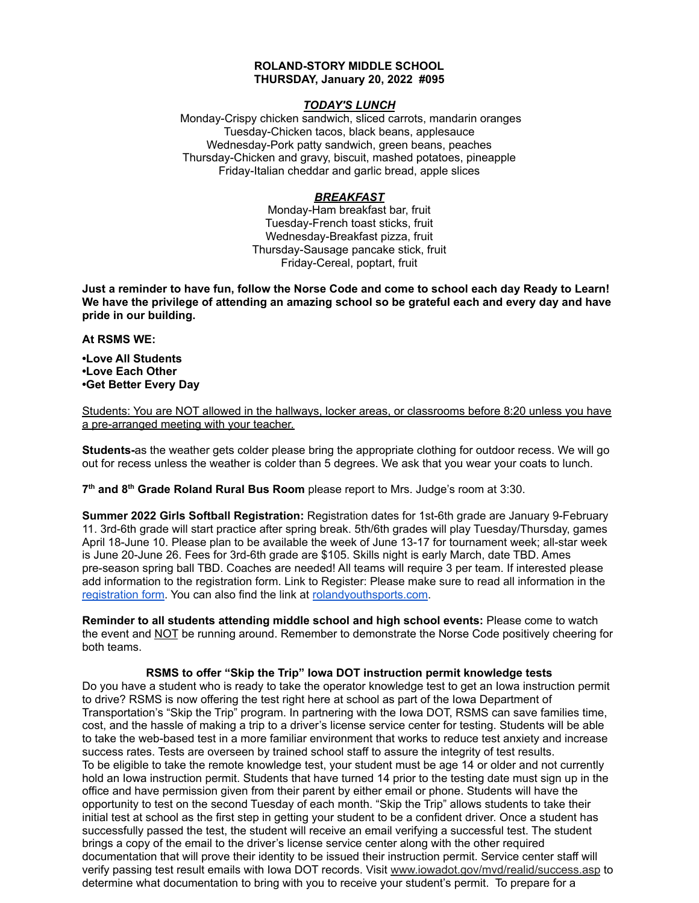#### **ROLAND-STORY MIDDLE SCHOOL THURSDAY, January 20, 2022 #095**

## *TODAY'S LUNCH*

Monday-Crispy chicken sandwich, sliced carrots, mandarin oranges Tuesday-Chicken tacos, black beans, applesauce Wednesday-Pork patty sandwich, green beans, peaches Thursday-Chicken and gravy, biscuit, mashed potatoes, pineapple Friday-Italian cheddar and garlic bread, apple slices

# *BREAKFAST*

Monday-Ham breakfast bar, fruit Tuesday-French toast sticks, fruit Wednesday-Breakfast pizza, fruit Thursday-Sausage pancake stick, fruit Friday-Cereal, poptart, fruit

Just a reminder to have fun, follow the Norse Code and come to school each day Ready to Learn! **We have the privilege of attending an amazing school so be grateful each and every day and have pride in our building.**

#### **At RSMS WE:**

**•Love All Students •Love Each Other •Get Better Every Day**

Students: You are NOT allowed in the hallways, locker areas, or classrooms before 8:20 unless you have a pre-arranged meeting with your teacher.

**Students-**as the weather gets colder please bring the appropriate clothing for outdoor recess. We will go out for recess unless the weather is colder than 5 degrees. We ask that you wear your coats to lunch.

**7 th and 8 th Grade Roland Rural Bus Room** please report to Mrs. Judge's room at 3:30.

**Summer 2022 Girls Softball Registration:** Registration dates for 1st-6th grade are January 9-February 11. 3rd-6th grade will start practice after spring break. 5th/6th grades will play Tuesday/Thursday, games April 18-June 10. Please plan to be available the week of June 13-17 for tournament week; all-star week is June 20-June 26. Fees for 3rd-6th grade are \$105. Skills night is early March, date TBD. Ames pre-season spring ball TBD. Coaches are needed! All teams will require 3 per team. If interested please add information to the registration form. Link to Register: Please make sure to read all information in th[e](https://rolandyouthsports.com/summer-2022-softball-registration-form/) [registration](https://rolandyouthsports.com/summer-2022-softball-registration-form/) form. You can also find the link at [rolandyouthsports.com](http://rolandyouthsports.com/).

**Reminder to all students attending middle school and high school events:** Please come to watch the event and NOT be running around. Remember to demonstrate the Norse Code positively cheering for both teams.

### **RSMS to offer "Skip the Trip" Iowa DOT instruction permit knowledge tests**

Do you have a student who is ready to take the operator knowledge test to get an Iowa instruction permit to drive? RSMS is now offering the test right here at school as part of the Iowa Department of Transportation's "Skip the Trip" program. In partnering with the Iowa DOT, RSMS can save families time, cost, and the hassle of making a trip to a driver's license service center for testing. Students will be able to take the web-based test in a more familiar environment that works to reduce test anxiety and increase success rates. Tests are overseen by trained school staff to assure the integrity of test results. To be eligible to take the remote knowledge test, your student must be age 14 or older and not currently hold an Iowa instruction permit. Students that have turned 14 prior to the testing date must sign up in the office and have permission given from their parent by either email or phone. Students will have the opportunity to test on the second Tuesday of each month. "Skip the Trip" allows students to take their initial test at school as the first step in getting your student to be a confident driver. Once a student has successfully passed the test, the student will receive an email verifying a successful test. The student brings a copy of the email to the driver's license service center along with the other required documentation that will prove their identity to be issued their instruction permit. Service center staff will verify passing test result emails with Iowa DOT records. Visit [www.iowadot.gov/mvd/realid/success.asp](http://www.iowadot.gov/mvd/realid/success.asp) to determine what documentation to bring with you to receive your student's permit. To prepare for a